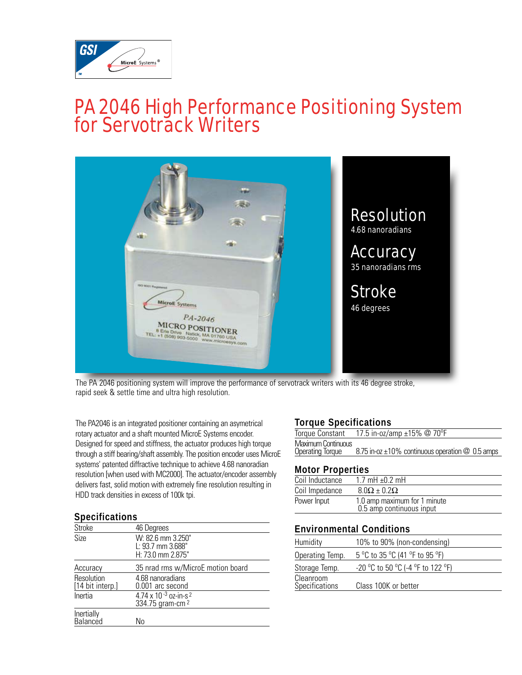

## PA 2046 High Performance Positioning System for Servotrack Writers



The PA 2046 positioning system will improve the performance of servotrack writers with its 46 degree stroke, rapid seek & settle time and ultra high resolution.

The PA2046 is an integrated positioner containing an asymetrical rotary actuator and a shaft mounted MicroE Systems encoder. Designed for speed and stiffness, the actuator produces high torque through a stiff bearing/shaft assembly. The position encoder uses MicroE systems' patented diffractive technique to achieve 4.68 nanoradian resolution [when used with MC2000]. The actuator/encoder assembly delivers fast, solid motion with extremely fine resolution resulting in HDD track densities in excess of 100k tpi.

#### **Specifications**

| <b>Stroke</b>                  | 46 Degrees                                                         |
|--------------------------------|--------------------------------------------------------------------|
| Size                           | W: 82.6 mm 3.250"<br>L: 93.7 mm 3.688"<br>H: 73.0 mm 2.875"        |
| Accuracy                       | 35 nrad rms w/MicroE motion board                                  |
| Resolution<br>[14 bit interp.] | 4.68 nanoradians<br>0.001 arc second                               |
| Inertia                        | 4.74 x 10 $-3$ oz-in-s <sup>2</sup><br>334.75 gram-cm <sup>2</sup> |
| Inertially<br>Balanced         | No                                                                 |

#### **Torque Specifications**

| Torque Constant         | 17.5 in-oz/amp ±15% @ 70°F                                    |
|-------------------------|---------------------------------------------------------------|
| Maximum Continuous      |                                                               |
| <b>Operating Torque</b> | 8.75 in-oz $\pm 10\%$ continuous operation $\oslash$ 0.5 amps |
|                         |                                                               |

#### **Motor Properties**

| Coil Inductance | 1.7 mH $\pm$ 0.2 mH                                      |
|-----------------|----------------------------------------------------------|
| Coil Impedance  | $8.0\Omega \pm 0.2\Omega$                                |
| Power Input     | 1.0 amp maximum for 1 minute<br>0.5 amp continuous input |

#### **Environmental Conditions**

| Humidity                           | 10% to 90% (non-condensing)       |
|------------------------------------|-----------------------------------|
| Operating Temp.                    | 5 °C to 35 °C (41 °F to 95 °F)    |
| Storage Temp.                      | -20 °C to 50 °C (-4 °F to 122 °F) |
| Cleanroom<br><b>Specifications</b> | Class 100K or better              |